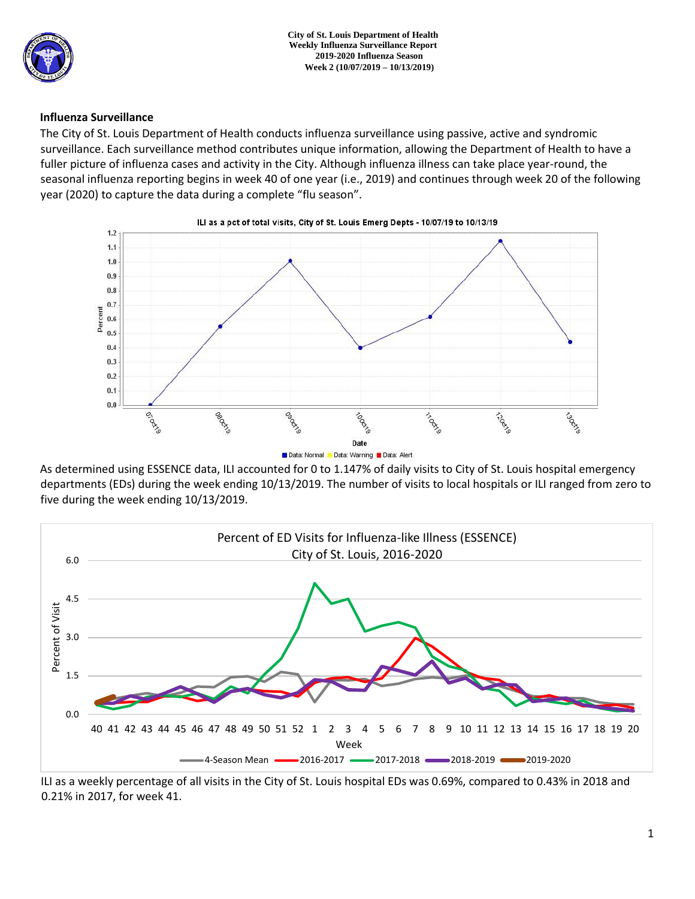

### **Influenza Surveillance**

The City of St. Louis Department of Health conducts influenza surveillance using passive, active and syndromic surveillance. Each surveillance method contributes unique information, allowing the Department of Health to have a fuller picture of influenza cases and activity in the City. Although influenza illness can take place year-round, the seasonal influenza reporting begins in week 40 of one year (i.e., 2019) and continues through week 20 of the following year (2020) to capture the data during a complete "flu season".



As determined using ESSENCE data, ILI accounted for 0 to 1.147% of daily visits to City of St. Louis hospital emergency departments (EDs) during the week ending 10/13/2019. The number of visits to local hospitals or ILI ranged from zero to five during the week ending 10/13/2019.



ILI as a weekly percentage of all visits in the City of St. Louis hospital EDs was 0.69%, compared to 0.43% in 2018 and 0.21% in 2017, for week 41.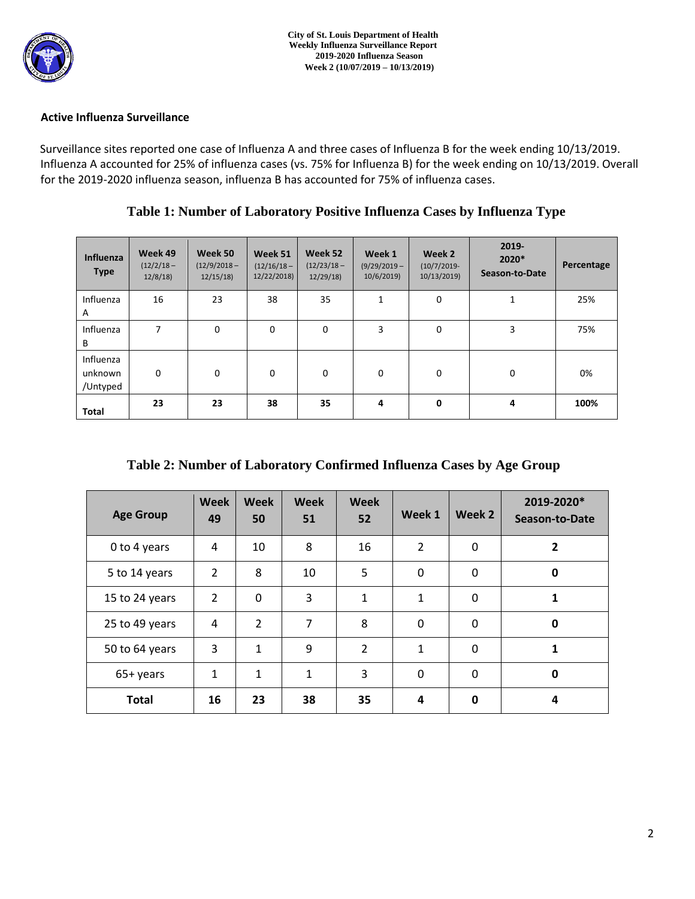

### **Active Influenza Surveillance**

Surveillance sites reported one case of Influenza A and three cases of Influenza B for the week ending 10/13/2019. Influenza A accounted for 25% of influenza cases (vs. 75% for Influenza B) for the week ending on 10/13/2019. Overall for the 2019-2020 influenza season, influenza B has accounted for 75% of influenza cases.

| Influenza<br><b>Type</b>         | Week 49<br>$(12/2/18 -$<br>12/8/18 | Week 50<br>$(12/9/2018 -$<br>12/15/18 | Week 51<br>$(12/16/18 -$<br>12/22/2018) | Week 52<br>$(12/23/18 -$<br>12/29/18 | Week 1<br>$(9/29/2019 -$<br>10/6/2019 | Week 2<br>$(10/7/2019 -$<br>10/13/2019) | 2019-<br>2020*<br>Season-to-Date | Percentage |
|----------------------------------|------------------------------------|---------------------------------------|-----------------------------------------|--------------------------------------|---------------------------------------|-----------------------------------------|----------------------------------|------------|
| Influenza<br>A                   | 16                                 | 23                                    | 38                                      | 35                                   | 1                                     | 0                                       | 1                                | 25%        |
| Influenza<br>B                   | 7                                  | $\mathbf 0$                           | $\mathbf 0$                             | $\mathbf 0$                          | 3                                     | 0                                       | 3                                | 75%        |
| Influenza<br>unknown<br>/Untyped | $\mathbf 0$                        | $\Omega$                              | $\Omega$                                | $\mathbf 0$                          | $\mathbf 0$                           | 0                                       | $\mathbf 0$                      | 0%         |
| Total                            | 23                                 | 23                                    | 38                                      | 35                                   | 4                                     | 0                                       | 4                                | 100%       |

**Table 1: Number of Laboratory Positive Influenza Cases by Influenza Type** 

| Table 2: Number of Laboratory Confirmed Influenza Cases by Age Group |  |  |  |
|----------------------------------------------------------------------|--|--|--|
|----------------------------------------------------------------------|--|--|--|

| <b>Age Group</b> | <b>Week</b><br>49 | Week<br>50     | <b>Week</b><br>51 | <b>Week</b><br>52 | Week 1         | Week 2       | 2019-2020*<br>Season-to-Date |
|------------------|-------------------|----------------|-------------------|-------------------|----------------|--------------|------------------------------|
| 0 to 4 years     | 4                 | 10             | 8                 | 16                | $\overline{2}$ | 0            | $\overline{2}$               |
| 5 to 14 years    | $\overline{2}$    | 8              | 10                | 5                 | $\mathbf 0$    | $\Omega$     | 0                            |
| 15 to 24 years   | $\overline{2}$    | $\mathbf{0}$   | 3                 | $\mathbf{1}$      | $\mathbf{1}$   | $\Omega$     | 1                            |
| 25 to 49 years   | 4                 | $\overline{2}$ | 7                 | 8                 | 0              | 0            | 0                            |
| 50 to 64 years   | 3                 | $\mathbf{1}$   | 9                 | $\overline{2}$    | $\mathbf{1}$   | $\Omega$     |                              |
| 65+ years        | $\mathbf{1}$      | $\mathbf{1}$   | 1                 | 3                 | 0              | $\Omega$     | 0                            |
| <b>Total</b>     | 16                | 23             | 38                | 35                | 4              | $\mathbf{0}$ | 4                            |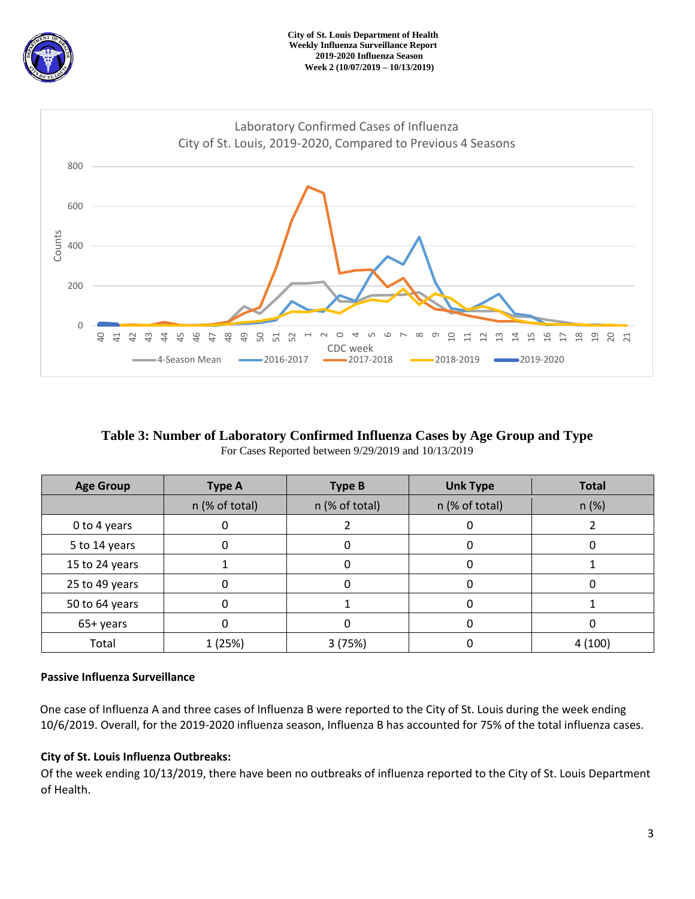



# **Table 3: Number of Laboratory Confirmed Influenza Cases by Age Group and Type**  For Cases Reported between 9/29/2019 and 10/13/2019

| <b>Age Group</b> | <b>Type A</b>  | <b>Type B</b>  | <b>Unk Type</b> | <b>Total</b> |  |
|------------------|----------------|----------------|-----------------|--------------|--|
|                  | n (% of total) | n (% of total) | n (% of total)  | $n (\%)$     |  |
| 0 to 4 years     |                |                |                 |              |  |
| 5 to 14 years    | O              |                |                 |              |  |
| 15 to 24 years   |                |                |                 |              |  |
| 25 to 49 years   | 0              |                | 0               |              |  |
| 50 to 64 years   |                |                |                 |              |  |
| 65+ years        |                |                |                 |              |  |
| Total            | 1 (25%)        | 3(75%)         |                 | 4(100)       |  |

# **Passive Influenza Surveillance**

One case of Influenza A and three cases of Influenza B were reported to the City of St. Louis during the week ending 10/6/2019. Overall, for the 2019-2020 influenza season, Influenza B has accounted for 75% of the total influenza cases.

# **City of St. Louis Influenza Outbreaks:**

Of the week ending 10/13/2019, there have been no outbreaks of influenza reported to the City of St. Louis Department of Health.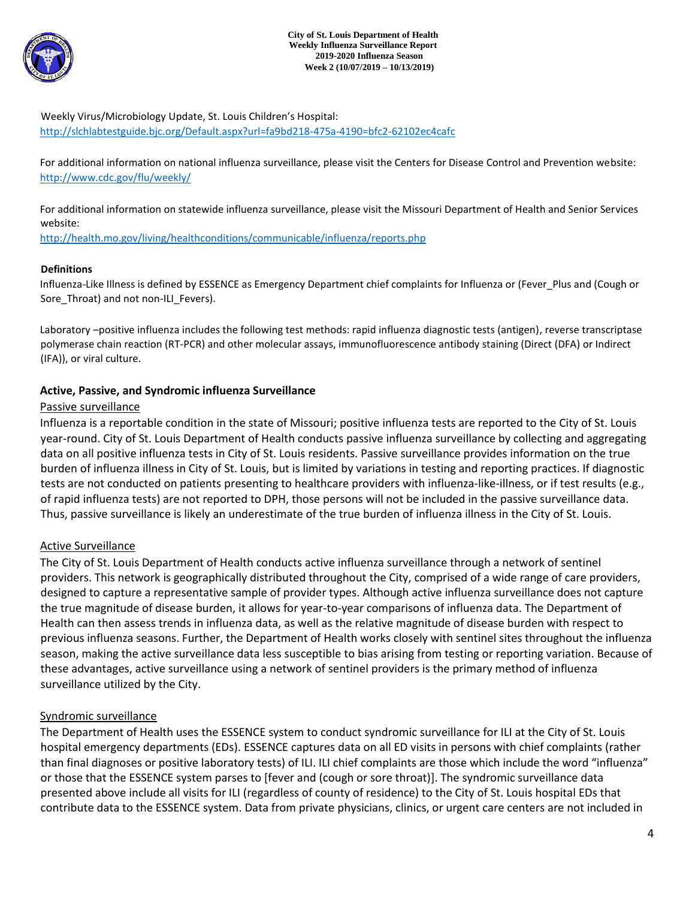

Weekly Virus/Microbiology Update, St. Louis Children's Hospital: <http://slchlabtestguide.bjc.org/Default.aspx?url=fa9bd218-475a-4190=bfc2-62102ec4cafc>

For additional information on national influenza surveillance, please visit the Centers for Disease Control and Prevention website: <http://www.cdc.gov/flu/weekly/>

For additional information on statewide influenza surveillance, please visit the Missouri Department of Health and Senior Services website:

<http://health.mo.gov/living/healthconditions/communicable/influenza/reports.php>

### **Definitions**

Influenza-Like Illness is defined by ESSENCE as Emergency Department chief complaints for Influenza or (Fever\_Plus and (Cough or Sore Throat) and not non-ILI Fevers).

Laboratory –positive influenza includes the following test methods: rapid influenza diagnostic tests (antigen), reverse transcriptase polymerase chain reaction (RT-PCR) and other molecular assays, immunofluorescence antibody staining (Direct (DFA) or Indirect (IFA)), or viral culture.

### **Active, Passive, and Syndromic influenza Surveillance**

#### Passive surveillance

Influenza is a reportable condition in the state of Missouri; positive influenza tests are reported to the City of St. Louis year-round. City of St. Louis Department of Health conducts passive influenza surveillance by collecting and aggregating data on all positive influenza tests in City of St. Louis residents. Passive surveillance provides information on the true burden of influenza illness in City of St. Louis, but is limited by variations in testing and reporting practices. If diagnostic tests are not conducted on patients presenting to healthcare providers with influenza-like-illness, or if test results (e.g., of rapid influenza tests) are not reported to DPH, those persons will not be included in the passive surveillance data. Thus, passive surveillance is likely an underestimate of the true burden of influenza illness in the City of St. Louis.

### Active Surveillance

The City of St. Louis Department of Health conducts active influenza surveillance through a network of sentinel providers. This network is geographically distributed throughout the City, comprised of a wide range of care providers, designed to capture a representative sample of provider types. Although active influenza surveillance does not capture the true magnitude of disease burden, it allows for year-to-year comparisons of influenza data. The Department of Health can then assess trends in influenza data, as well as the relative magnitude of disease burden with respect to previous influenza seasons. Further, the Department of Health works closely with sentinel sites throughout the influenza season, making the active surveillance data less susceptible to bias arising from testing or reporting variation. Because of these advantages, active surveillance using a network of sentinel providers is the primary method of influenza surveillance utilized by the City.

### Syndromic surveillance

The Department of Health uses the ESSENCE system to conduct syndromic surveillance for ILI at the City of St. Louis hospital emergency departments (EDs). ESSENCE captures data on all ED visits in persons with chief complaints (rather than final diagnoses or positive laboratory tests) of ILI. ILI chief complaints are those which include the word "influenza" or those that the ESSENCE system parses to [fever and (cough or sore throat)]. The syndromic surveillance data presented above include all visits for ILI (regardless of county of residence) to the City of St. Louis hospital EDs that contribute data to the ESSENCE system. Data from private physicians, clinics, or urgent care centers are not included in